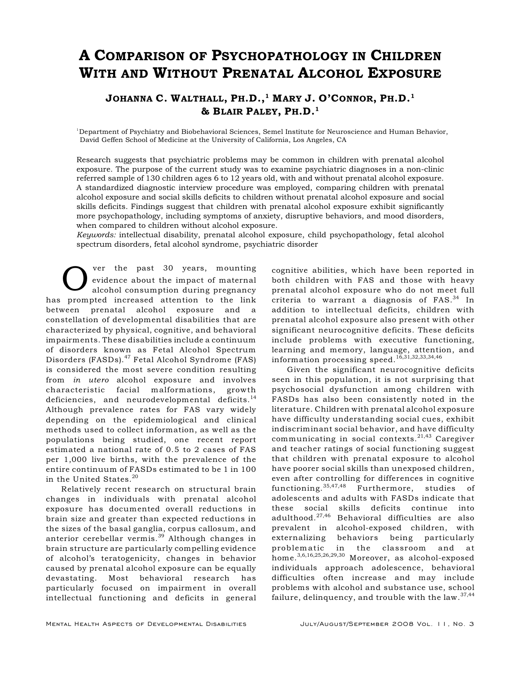# A COMPARISON OF PSYCHOPATHOLOGY IN CHILDREN WITH AND WITHOUT PRENATAL ALCOHOL EXPOSURE

# JOHANNA C. WALTHALL, PH.D.,<sup>1</sup> MARY J. O'CONNOR, PH.D.<sup>1</sup> & BLAIR PALEY, PH.D.<sup>1</sup>

<sup>1</sup>Department of Psychiatry and Biobehavioral Sciences, Semel Institute for Neuroscience and Human Behavior, David Geffen School of Medicine at the University of California, Los Angeles, CA

Research suggests that psychiatric problems may be common in children with prenatal alcohol exposure. The purpose of the current study was to examine psychiatric diagnoses in a non-clinic referred sample of 130 children ages 6 to 12 years old, with and without prenatal alcohol exposure. A standardized diagnostic interview procedure was employed, comparing children with prenatal alcohol exposure and social skills deficits to children without prenatal alcohol exposure and social skills deficits. Findings suggest that children with prenatal alcohol exposure exhibit significantly more psychopathology, including symptoms of anxiety, disruptive behaviors, and mood disorders, when compared to children without alcohol exposure.

*Keywords:* intellectual disability, prenatal alcohol exposure, child psychopathology, fetal alcohol spectrum disorders, fetal alcohol syndrome, psychiatric disorder

O ver the past 30 years, mounting<br>evidence about the impact of maternal<br>has prompted increased attention to the link ver the past 30 years, mounting evidence about the impact of maternal alcohol consumption during pregnancy between prenatal alcohol exposure and a constellation of developmental disabilities that are characterized by physical, cognitive, and behavioral impairments. These disabilities include a continuum of disorders known as Fetal Alcohol Spectrum Disorders (FASDs).<sup>47</sup> Fetal Alcohol Syndrome (FAS) is considered the most severe condition resulting from *in utero* alcohol exposure and involves characteristic facial malformations, growth deficiencies, and neurodevelopmental deficits.<sup>14</sup> Although prevalence rates for FAS vary widely depending on the epidemiological and clinical methods used to collect information, as well as the populations being studied, one recent report estimated a national rate of 0.5 to 2 cases of FAS per 1,000 live births, with the prevalence of the entire continuum of FASDs estimated to be 1 in 100 in the United States.<sup>20</sup>

Relatively recent research on structural brain changes in individuals with prenatal alcohol exposure has documented overall reductions in brain size and greater than expected reductions in the sizes of the basal ganglia, corpus callosum, and anterior cerebellar vermis. $39$  Although changes in brain structure are particularly compelling evidence of alcohol's teratogenicity, changes in behavior caused by prenatal alcohol exposure can be equally devastating. Most behavioral research has particularly focused on impairment in overall intellectual functioning and deficits in general cognitive abilities, which have been reported in both children with FAS and those with heavy prenatal alcohol exposure who do not meet full criteria to warrant a diagnosis of  $FAS.<sup>34</sup>$  In addition to intellectual deficits, children with prenatal alcohol exposure also present with other significant neurocognitive deficits. These deficits include problems with executive functioning, learning and memory, language, attention, and information processing speed.16,31,32,33,34,46

Given the significant neurocognitive deficits seen in this population, it is not surprising that psychosocial dysfunction among children with FASDs has also been consistently noted in the literature. Children with prenatal alcohol exposure have difficulty understanding social cues, exhibit indiscriminant social behavior, and have difficulty communicating in social contexts. $21,43$  Caregiver and teacher ratings of social functioning suggest that children with prenatal exposure to alcohol have poorer social skills than unexposed children, even after controlling for differences in cognitive functioning.  $35,47,48$  Furthermore, studies of adolescents and adults with FASDs indicate that these social skills deficits continue into adulthood. $27,46$  Behavioral difficulties are also prevalent in alcohol-exposed children, with externalizing behaviors being particularly problem atic in the classroom and at home.<sup>3,6,16,25,26,29,30</sup> Moreover, as alcohol-exposed individuals approach adolescence, behavioral difficulties often increase and may include problems with alcohol and substance use, school failure, delinquency, and trouble with the law.  $37,44$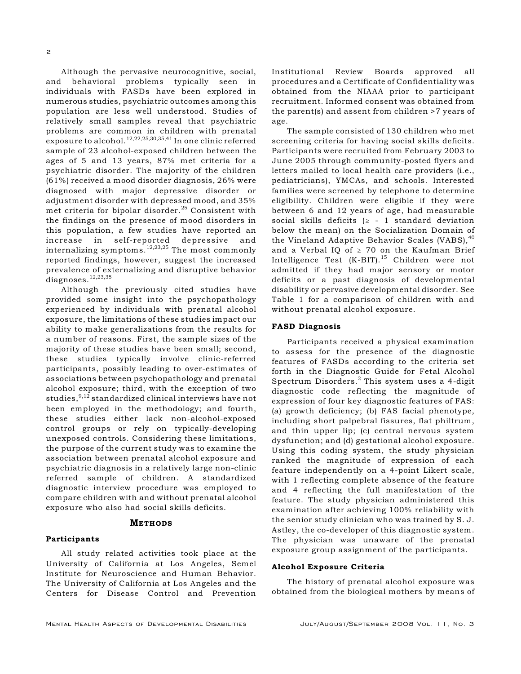Although the pervasive neurocognitive, social, and behavioral problems typically seen in individuals with FASDs have been explored in numerous studies, psychiatric outcomes among this population are less well understood. Studies of relatively small samples reveal that psychiatric problems are common in children with prenatal exposure to alcohol.  $^{12,22,25,30,35,41}$  In one clinic referred sample of 23 alcohol-exposed children between the ages of 5 and 13 years, 87% met criteria for a psychiatric disorder. The majority of the children (61%) received a mood disorder diagnosis, 26% were diagnosed with major depressive disorder or adjustment disorder with depressed mood, and 35% met criteria for bipolar disorder.<sup>25</sup> Consistent with the findings on the presence of mood disorders in this population, a few studies have reported an increase in self-reported depressive and internalizing symptoms.  $12,23,25$  The most commonly reported findings, however, suggest the increased prevalence of externalizing and disruptive behavior diagnoses.<sup>12,23,35</sup>

Although the previously cited studies have provided some insight into the psychopathology experienced by individuals with prenatal alcohol exposure, the limitations of these studies impact our ability to make generalizations from the results for a number of reasons. First, the sample sizes of the majority of these studies have been small; second, these studies typically involve clinic-referred participants, possibly leading to over-estimates of associations between psychopathology and prenatal alcohol exposure; third, with the exception of two studies,  $9,12$  standardized clinical interviews have not been employed in the methodology; and fourth, these studies either lack non-alcohol-exposed control groups or rely on typically-developing unexposed controls. Considering these limitations, the purpose of the current study was to examine the association between prenatal alcohol exposure and psychiatric diagnosis in a relatively large non-clinic referred sample of children. A standardized diagnostic interview procedure was employed to compare children with and without prenatal alcohol exposure who also had social skills deficits.

#### METHODS

#### Participants

All study related activities took place at the University of California at Los Angeles, Semel Institute for Neuroscience and Human Behavior. The University of California at Los Angeles and the Centers for Disease Control and Prevention

Institutional Review Boards approved all procedures and a Certificate of Confidentiality was obtained from the NIAAA prior to participant recruitment. Informed consent was obtained from the parent(s) and assent from children >7 years of age.

The sample consisted of 130 children who met screening criteria for having social skills deficits. Participants were recruited from February 2003 to June 2005 through community-posted flyers and letters mailed to local health care providers (i.e., pediatricians), YMCAs, and schools. Interested families were screened by telephone to determine eligibility. Children were eligible if they were between 6 and 12 years of age, had measurable social skills deficits  $(2 - 1)$  standard deviation below the mean) on the Socialization Domain of the Vineland Adaptive Behavior Scales (VABS), $40$ and a Verbal IQ of  $\geq 70$  on the Kaufman Brief Intelligence Test  $(K-BIT)$ .<sup>15</sup> Children were not admitted if they had major sensory or motor deficits or a past diagnosis of developmental disability or pervasive developmental disorder. See Table 1 for a comparison of children with and without prenatal alcohol exposure.

#### FASD Diagnosis

Participants received a physical examination to assess for the presence of the diagnostic features of FASDs according to the criteria set forth in the Diagnostic Guide for Fetal Alcohol Spectrum Disorders. $<sup>2</sup>$  This system uses a 4-digit</sup> diagnostic code reflecting the magnitude of expression of four key diagnostic features of FAS: (a) growth deficiency; (b) FAS facial phenotype, including short palpebral fissures, flat philtrum, and thin upper lip; (c) central nervous system dysfunction; and (d) gestational alcohol exposure. Using this coding system, the study physician ranked the magnitude of expression of each feature independently on a 4-point Likert scale, with 1 reflecting complete absence of the feature and 4 reflecting the full manifestation of the feature. The study physician administered this examination after achieving 100% reliability with the senior study clinician who was trained by S. J. Astley, the co-developer of this diagnostic system. The physician was unaware of the prenatal exposure group assignment of the participants.

#### Alcohol Exposure Criteria

The history of prenatal alcohol exposure was obtained from the biological mothers by means of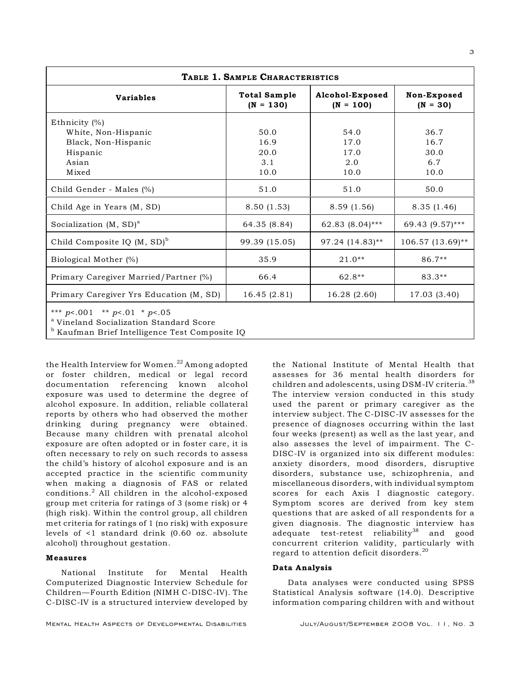| TABLE 1. SAMPLE CHARACTERISTICS                                                                                                                       |                                    |                                |                             |  |  |  |  |
|-------------------------------------------------------------------------------------------------------------------------------------------------------|------------------------------------|--------------------------------|-----------------------------|--|--|--|--|
| <b>Variables</b>                                                                                                                                      | <b>Total Sample</b><br>$(N = 130)$ | Alcohol-Exposed<br>$(N = 100)$ | Non-Exposed<br>$(N = 30)$   |  |  |  |  |
| Ethnicity $(\%)$<br>White, Non-Hispanic<br>Black, Non-Hispanic<br>Hispanic<br>Asian                                                                   | 50.0<br>16.9<br>20.0<br>3.1        | 54.0<br>17.0<br>17.0<br>2.0    | 36.7<br>16.7<br>30.0<br>6.7 |  |  |  |  |
| Mixed<br>Child Gender - Males (%)                                                                                                                     | 10.0<br>51.0                       | 10.0<br>51.0                   | 10.0<br>50.0                |  |  |  |  |
| Child Age in Years (M, SD)                                                                                                                            | 8.50(1.53)                         | 8.59(1.56)                     | 8.35(1.46)                  |  |  |  |  |
| Socialization $(M, SD)^a$                                                                                                                             | 64.35 (8.84)                       | 62.83 (8.04)***                | 69.43 (9.57)***             |  |  |  |  |
| Child Composite IQ $(M, SD)^b$                                                                                                                        | 99.39 (15.05)                      | 97.24 (14.83)**                | 106.57 (13.69)**            |  |  |  |  |
| Biological Mother (%)                                                                                                                                 | 35.9                               | $21.0**$                       | $86.7**$                    |  |  |  |  |
| Primary Caregiver Married/Partner (%)                                                                                                                 | 66.4                               | 62.8**                         | $83.3**$                    |  |  |  |  |
| Primary Caregiver Yrs Education (M, SD)                                                                                                               | 16.45(2.81)                        | 16.28 (2.60)                   | 17.03 (3.40)                |  |  |  |  |
| *** $p$ <.001 ** $p$ <.01 * $p$ <.05<br><sup>a</sup> Vineland Socialization Standard Score<br>$^{\rm b}$ Kaufman Brief Intelligence Test Composite IO |                                    |                                |                             |  |  |  |  |

Kaufman Brief Intelligence Test Composite IQ <sup>b</sup>

the Health Interview for Women. $^{22}$  Among adopted or foster children, medical or legal record documentation referencing known alcohol exposure was used to determine the degree of alcohol exposure. In addition, reliable collateral reports by others who had observed the mother drinking during pregnancy were obtained. Because many children with prenatal alcohol exposure are often adopted or in foster care, it is often necessary to rely on such records to assess the child's history of alcohol exposure and is an accepted practice in the scientific community when making a diagnosis of FAS or related  $conditions.<sup>2</sup>$  All children in the alcohol-exposed group met criteria for ratings of 3 (some risk) or 4 (high risk). Within the control group, all children met criteria for ratings of 1 (no risk) with exposure levels of <1 standard drink (0.60 oz. absolute alcohol) throughout gestation.

#### Measures

National Institute for Mental Health Computerized Diagnostic Interview Schedule for Children—Fourth Edition (NIMH C-DISC-IV). The C-DISC-IV is a structured interview developed by

presence of diagnoses occurring within the last four weeks (present) as well as the last year, and also assesses the level of impairment. The C-DISC-IV is organized into six different modules: anxiety disorders, mood disorders, disruptive disorders, substance use, schizophrenia, and miscellaneous disorders, with individual symptom scores for each Axis I diagnostic category. Symptom scores are derived from key stem questions that are asked of all respondents for a given diagnosis. The diagnostic interview has adequate test-retest reliability<sup>38</sup> and good concurrent criterion validity, particularly with regard to attention deficit disorders.<sup>20</sup> Data Analysis

the National Institute of Mental Health that assesses for 36 mental health disorders for children and adolescents, using DSM-IV criteria.<sup>38</sup> The interview version conducted in this study used the parent or primary caregiver as the interview subject. The C-DISC-IV assesses for the

Data analyses were conducted using SPSS Statistical Analysis software (14.0). Descriptive information comparing children with and without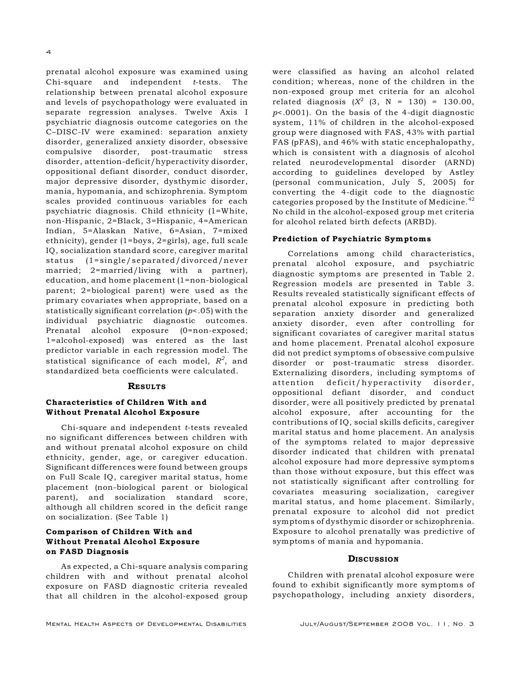prenatal alcohol exposure was examined using Chi-square and independent *t*-tests. The relationship between prenatal alcohol exposure and levels of psychopathology were evaluated in separate regression analyses. Twelve Axis I psychiatric diagnosis outcome categories on the C–DISC-IV were examined: separation anxiety disorder, generalized anxiety disorder, obsessive compulsive disorder, post-traumatic stress disorder, attention-deficit/hyperactivity disorder, oppositional defiant disorder, conduct disorder, major depressive disorder, dysthymic disorder, mania, hypomania, and schizophrenia. Symptom scales provided continuous variables for each psychiatric diagnosis. Child ethnicity (1=White, non-Hispanic, 2=Black, 3=Hispanic, 4=American Indian, 5=Alaskan Native, 6=Asian, 7=mixed ethnicity), gender (1=boys, 2=girls), age, full scale IQ, socialization standard score, caregiver marital status (1=single/separated/divorced/never married; 2=married/living with a partner), education, and home placement (1=non-biological parent; 2=biological parent) were used as the primary covariates when appropriate, based on a statistically significant correlation (*p*<.05) with the individual psychiatric diagnostic outcomes. Prenatal alcohol exposure (0=non-exposed; 1=alcohol-exposed) was entered as the last predictor variable in each regression model. The statistical significance of each model,  $R^2$ , and standardized beta coefficients were calculated.

#### **RESULTS**

## Characteristics of Children With and Without Prenatal Alcohol Exposure

Chi-square and independent *t*-tests revealed no significant differences between children with and without prenatal alcohol exposure on child ethnicity, gender, age, or caregiver education. Significant differences were found between groups on Full Scale IQ, caregiver marital status, home placement (non-biological parent or biological parent), and socialization standard score, although all children scored in the deficit range on socialization. (See Table 1)

## Comparison of Children With and Without Prenatal Alcohol Exposure on FASD Diagnosis

As expected, a Chi-square analysis comparing children with and without prenatal alcohol exposure on FASD diagnostic criteria revealed that all children in the alcohol-exposed group were classified as having an alcohol related condition; whereas, none of the children in the non-exposed group met criteria for an alcohol related diagnosis  $(X^2 \t(3, N = 130) = 130.00,$ *p*<.0001). On the basis of the 4-digit diagnostic system, 11% of children in the alcohol-exposed group were diagnosed with FAS, 43% with partial FAS (pFAS), and 46% with static encephalopathy, which is consistent with a diagnosis of alcohol related neurodevelopmental disorder (ARND) according to guidelines developed by Astley (personal communication, July 5, 2005) for converting the 4-digit code to the diagnostic categories proposed by the Institute of Medicine.<sup>42</sup> No child in the alcohol-exposed group met criteria for alcohol related birth defects (ARBD).

#### Prediction of Psychiatric Symptom s

Correlations among child characteristics, prenatal alcohol exposure, and psychiatric diagnostic symptoms are presented in Table 2. Regression models are presented in Table 3. Results revealed statistically significant effects of prenatal alcohol exposure in predicting both separation anxiety disorder and generalized anxiety disorder, even after controlling for significant covariates of caregiver marital status and home placement. Prenatal alcohol exposure did not predict symptoms of obsessive compulsive disorder or post-traumatic stress disorder. Externalizing disorders, including symptoms of attention deficit/hyperactivity disorder, oppositional defiant disorder, and conduct disorder, were all positively predicted by prenatal alcohol exposure, after accounting for the contributions of IQ, social skills deficits, caregiver marital status and home placement. An analysis of the symptoms related to major depressive disorder indicated that children with prenatal alcohol exposure had more depressive symptoms than those without exposure, but this effect was not statistically significant after controlling for covariates measuring socialization, caregiver marital status, and home placement. Similarly, prenatal exposure to alcohol did not predict symptoms of dysthymic disorder or schizophrenia. Exposure to alcohol prenatally was predictive of symptoms of mania and hypomania.

#### **DISCUSSION**

Children with prenatal alcohol exposure were found to exhibit significantly more symptoms of psychopathology, including anxiety disorders,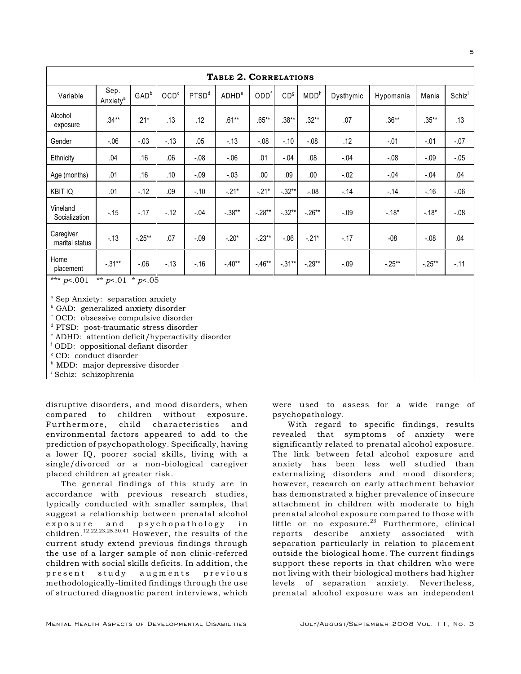| TABLE 2. CORRELATIONS                   |                              |                  |                  |                   |                   |                  |                 |                  |           |           |          |                    |
|-----------------------------------------|------------------------------|------------------|------------------|-------------------|-------------------|------------------|-----------------|------------------|-----------|-----------|----------|--------------------|
| Variable                                | Sep.<br>Anxiety <sup>a</sup> | GAD <sup>b</sup> | OCD <sup>c</sup> | PTSD <sup>d</sup> | ADHD <sup>e</sup> | ODD <sup>f</sup> | CD <sup>g</sup> | MDD <sup>h</sup> | Dysthymic | Hypomania | Mania    | Schiz <sup>'</sup> |
| Alcohol<br>exposure                     | $.34***$                     | $.21*$           | .13              | .12               | $.61**$           | $.65***$         | $.38**$         | $.32**$          | .07       | $.36***$  | $.35***$ | .13                |
| Gender                                  | $-06$                        | $-.03$           | $-13$            | .05               | $-13$             | $-0.08$          | $-.10$          | $-0.08$          | .12       | $-.01$    | $-.01$   | $-.07$             |
| Ethnicity                               | .04                          | .16              | .06              | $-.08$            | $-06$             | .01              | $-.04$          | .08              | $-.04$    | $-.08$    | $-0.09$  | $-.05$             |
| Age (months)                            | .01                          | .16              | .10              | $-.09$            | $-.03$            | .00              | .09             | .00.             | $-.02$    | $-.04$    | $-0.04$  | .04                |
| <b>KBIT IQ</b>                          | .01                          | $-12$            | .09              | $-.10$            | $-21*$            | $-21*$           | $-.32**$        | .08              | $-.14$    | $-14$     | $-16$    | $-0.06$            |
| Vineland<br>Socialization               | $-15$                        | $-17$            | $-12$            | $-.04$            | $-.38**$          | $-.28**$         | $-.32**$        | $-.26**$         | $-.09$    | $-.18*$   | $-18*$   | $-0.08$            |
| Caregiver<br>marital status             | $-.13$                       | $-.25**$         | .07              | $-.09$            | $-.20*$           | $-.23**$         | $-0.06$         | $-.21*$          | $-.17$    | $-08$     | $-0.08$  | .04                |
| Home<br>placement                       | $-.31**$                     | $-06$            | $-13$            | $-16$             | $-.40**$          | $-46**$          | $-.31**$        | $-.29**$         | $-.09$    | $-.25**$  | $-.25**$ | $-.11$             |
| *** $p<.001$<br>** $p<01$<br>* $p<0.05$ |                              |                  |                  |                   |                   |                  |                 |                  |           |           |          |                    |

<sup>a</sup> Sep Anxiety: separation anxiety

 $b$  GAD: generalized anxiety disorder

 $\degree$  OCD: obsessive compulsive disorder

<sup>d</sup> PTSD: post-traumatic stress disorder

 $e$  ADHD: attention deficit/hyperactivity disorder

f ODD: oppositional defiant disorder

<sup>g</sup> CD: conduct disorder

<sup>h</sup> MDD: major depressive disorder

<sup>i</sup> Schiz: schizophrenia

disruptive disorders, and mood disorders, when compared to children without exposure. Furthermore, child characteristics and environmental factors appeared to add to the prediction of psychopathology. Specifically, having a lower IQ, poorer social skills, living with a single/divorced or a non-biological caregiver placed children at greater risk.

The general findings of this study are in accordance with previous research studies, typically conducted with smaller samples, that suggest a relationship between prenatal alcohol exposure and psychopathology in children.  $^{12,22,23,25,30,41}$  However, the results of the current study extend previous findings through the use of a larger sample of non clinic-referred children with social skills deficits. In addition, the present study augments previous methodologically-limited findings through the use of structured diagnostic parent interviews, which

were used to assess for a wide range of psychopathology.

With regard to specific findings, results revealed that symptoms of anxiety were significantly related to prenatal alcohol exposure. The link between fetal alcohol exposure and anxiety has been less well studied than externalizing disorders and mood disorders; however, research on early attachment behavior has demonstrated a higher prevalence of insecure attachment in children with moderate to high prenatal alcohol exposure compared to those with little or no exposure. $23$  Furthermore, clinical reports describe anxiety associated with separation particularly in relation to placement outside the biological home. The current findings support these reports in that children who were not living with their biological mothers had higher levels of separation anxiety. Nevertheless, prenatal alcohol exposure was an independent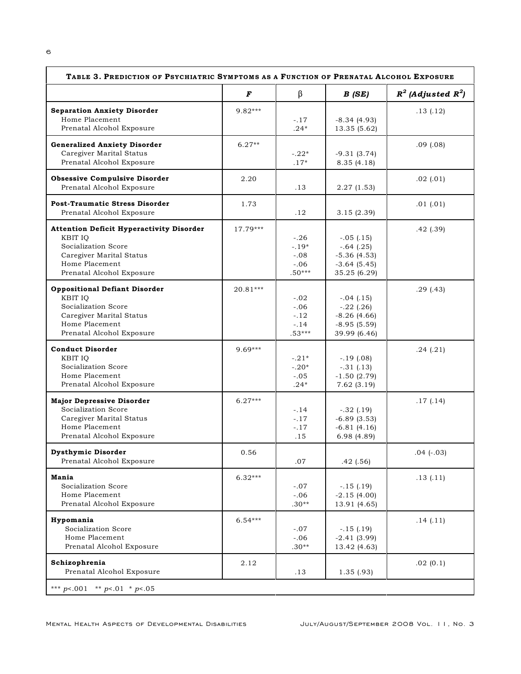| TABLE 3. PREDICTION OF PSYCHIATRIC SYMPTOMS AS A FUNCTION OF PRENATAL ALCOHOL EXPOSURE                                                                       |            |                                                   |                                                                                  |                         |  |  |  |
|--------------------------------------------------------------------------------------------------------------------------------------------------------------|------------|---------------------------------------------------|----------------------------------------------------------------------------------|-------------------------|--|--|--|
|                                                                                                                                                              | F          | β                                                 | B(SE)                                                                            | $R^2$ (Adjusted $R^2$ ) |  |  |  |
| <b>Separation Anxiety Disorder</b><br>Home Placement<br>Prenatal Alcohol Exposure                                                                            | $9.82***$  | $-.17$<br>$.24*$                                  | $-8.34(4.93)$<br>13.35 (5.62)                                                    | .13(.12)                |  |  |  |
| <b>Generalized Anxiety Disorder</b><br>Caregiver Marital Status<br>Prenatal Alcohol Exposure                                                                 | $6.27**$   | $-.22*$<br>$.17*$                                 | $-9.31(3.74)$<br>8.35(4.18)                                                      | $.09$ $(.08)$           |  |  |  |
| <b>Obsessive Compulsive Disorder</b><br>Prenatal Alcohol Exposure                                                                                            | 2.20       | .13                                               | 2.27(1.53)                                                                       | .02(0.01)               |  |  |  |
| <b>Post-Traumatic Stress Disorder</b><br>Prenatal Alcohol Exposure                                                                                           | 1.73       | .12                                               | 3.15(2.39)                                                                       | .01(0.01)               |  |  |  |
| <b>Attention Deficit Hyperactivity Disorder</b><br>KBIT IQ<br>Socialization Score<br>Caregiver Marital Status<br>Home Placement<br>Prenatal Alcohol Exposure | $17.79***$ | $-.26$<br>$-.19*$<br>$-.08$<br>$-.06$<br>$.50***$ | $-.05$ (.15)<br>$-.64$ (.25)<br>$-5.36(4.53)$<br>$-3.64(5.45)$<br>35.25 (6.29)   | .42(.39)                |  |  |  |
| <b>Oppositional Defiant Disorder</b><br>KBIT IO<br>Socialization Score<br>Caregiver Marital Status<br>Home Placement<br>Prenatal Alcohol Exposure            | 20.81***   | $-.02$<br>$-.06$<br>$-.12$<br>$-.14$<br>$.53***$  | $-.04$ $(.15)$<br>$-.22$ (.26)<br>$-8.26(4.66)$<br>$-8.95(5.59)$<br>39.99 (6.46) | .29(.43)                |  |  |  |
| <b>Conduct Disorder</b><br>KBIT IO<br>Socialization Score<br>Home Placement<br>Prenatal Alcohol Exposure                                                     | $9.69***$  | $-.21*$<br>$-.20*$<br>$-.05$<br>$.24*$            | $-.19$ (.08)<br>$-.31(.13)$<br>$-1.50(2.79)$<br>7.62(3.19)                       | .24(.21)                |  |  |  |
| <b>Major Depressive Disorder</b><br>Socialization Score<br>Caregiver Marital Status<br>Home Placement<br>Prenatal Alcohol Exposure                           | $6.27***$  | $-.14$<br>$-.17$<br>$-.17$<br>.15                 | $-.32$ (.19)<br>$-6.89(3.53)$<br>$-6.81(4.16)$<br>6.98(4.89)                     | .17(0.14)               |  |  |  |
| <b>Dysthymic Disorder</b><br>Prenatal Alcohol Exposure                                                                                                       | 0.56       | .07                                               | .42(.56)                                                                         | $.04$ ( $-.03$ )        |  |  |  |
| Mania<br>Socialization Score<br>Home Placement<br>Prenatal Alcohol Exposure                                                                                  | $6.32***$  | $-.07$<br>$-.06$<br>$.30**$                       | $-.15(.19)$<br>$-2.15(4.00)$<br>13.91 (4.65)                                     | .13(.11)                |  |  |  |
| Hypomania<br>Socialization Score<br>Home Placement<br>Prenatal Alcohol Exposure                                                                              | $6.54***$  | $-.07$<br>$-.06$<br>$.30**$                       | $-.15(.19)$<br>$-2.41(3.99)$<br>13.42 (4.63)                                     | .14(.11)                |  |  |  |
| Schizophrenia<br>Prenatal Alcohol Exposure                                                                                                                   | 2.12       | .13                                               | 1.35(0.93)                                                                       | .02(0.1)                |  |  |  |
| *** $p$ <.001 ** $p$ <.01 * $p$ <.05                                                                                                                         |            |                                                   |                                                                                  |                         |  |  |  |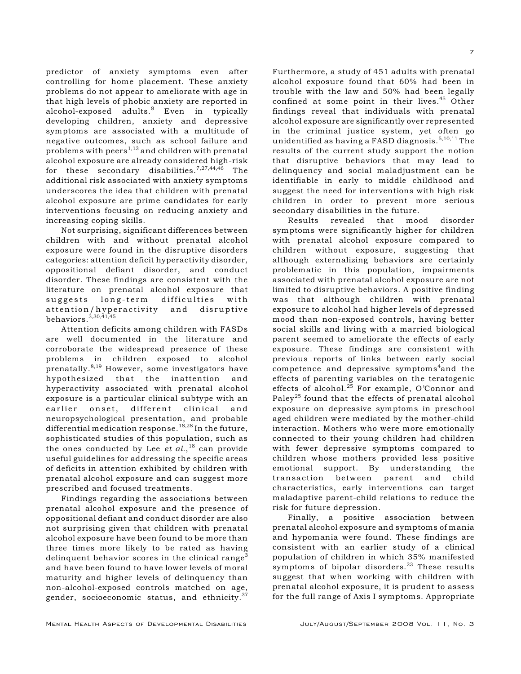predictor of anxiety symptoms even after controlling for home placement. These anxiety problems do not appear to ameliorate with age in that high levels of phobic anxiety are reported in alcohol-exposed adults.<sup>8</sup> Even in typically developing children, anxiety and depressive symptoms are associated with a multitude of negative outcomes, such as school failure and problems with peers<sup> $1,13$ </sup> and children with prenatal alcohol exposure are already considered high-risk for these secondary disabilities.<sup>7,27,44,46</sup> The additional risk associated with anxiety symptoms underscores the idea that children with prenatal alcohol exposure are prime candidates for early interventions focusing on reducing anxiety and increasing coping skills.

Not surprising, significant differences between children with and without prenatal alcohol exposure were found in the disruptive disorders categories: attention deficit hyperactivity disorder, oppositional defiant disorder, and conduct disorder. These findings are consistent with the literature on prenatal alcohol exposure that suggests long-term difficulties with attention/hyperactivity and disruptive behaviors. $3,30,41,45$ 

Attention deficits among children with FASDs are well documented in the literature and corroborate the widespread presence of these problems in children exposed to alcohol prenatally. $8,19$  However, some investigators have hypothesized that the inattention and hyperactivity associated with prenatal alcohol exposure is a particular clinical subtype with an earlier onset, different clinical and neuropsychological presentation, and probable differential medication response.  $18,28$  In the future, sophisticated studies of this population, such as the ones conducted by Lee *et al.*,<sup>18</sup> can provide useful guidelines for addressing the specific areas of deficits in attention exhibited by children with prenatal alcohol exposure and can suggest more prescribed and focused treatments.

Findings regarding the associations between prenatal alcohol exposure and the presence of oppositional defiant and conduct disorder are also not surprising given that children with prenatal alcohol exposure have been found to be more than three times more likely to be rated as having delinquent behavior scores in the clinical range<sup>3</sup> and have been found to have lower levels of moral maturity and higher levels of delinquency than non-alcohol-exposed controls matched on age, gender, socioeconomic status, and ethnicity.<sup>37</sup>

alcohol exposure found that 60% had been in trouble with the law and 50% had been legally confined at some point in their lives.<sup>45</sup> Other findings reveal that individuals with prenatal alcohol exposure are significantly over represented in the criminal justice system, yet often go unidentified as having a FASD diagnosis.  $5,10,11$  The results of the current study support the notion that disruptive behaviors that may lead to delinquency and social maladjustment can be identifiable in early to middle childhood and suggest the need for interventions with high risk children in order to prevent more serious secondary disabilities in the future. Results revealed that mood disorder

Furthermore, a study of 451 adults with prenatal

symptoms were significantly higher for children with prenatal alcohol exposure compared to children without exposure, suggesting that although externalizing behaviors are certainly problematic in this population, impairments associated with prenatal alcohol exposure are not limited to disruptive behaviors. A positive finding was that although children with prenatal exposure to alcohol had higher levels of depressed mood than non-exposed controls, having better social skills and living with a married biological parent seemed to ameliorate the effects of early exposure. These findings are consistent with previous reports of links between early social competence and depressive symptoms<sup>4</sup> and the effects of parenting variables on the teratogenic effects of alcohol. $^{25}$  For example, O'Connor and Paley<sup>25</sup> found that the effects of prenatal alcohol exposure on depressive symptoms in preschool aged children were mediated by the mother-child interaction. Mothers who were more emotionally connected to their young children had children with fewer depressive symptoms compared to children whose mothers provided less positive emotional support. By understanding the transaction between parent and child characteristics, early interventions can target maladaptive parent-child relations to reduce the risk for future depression.

Finally, a positive association between prenatal alcohol exposure and symptoms of mania and hypomania were found. These findings are consistent with an earlier study of a clinical population of children in which 35% manifested symptoms of bipolar disorders.<sup>23</sup> These results suggest that when working with children with prenatal alcohol exposure, it is prudent to assess for the full range of Axis I symptoms. Appropriate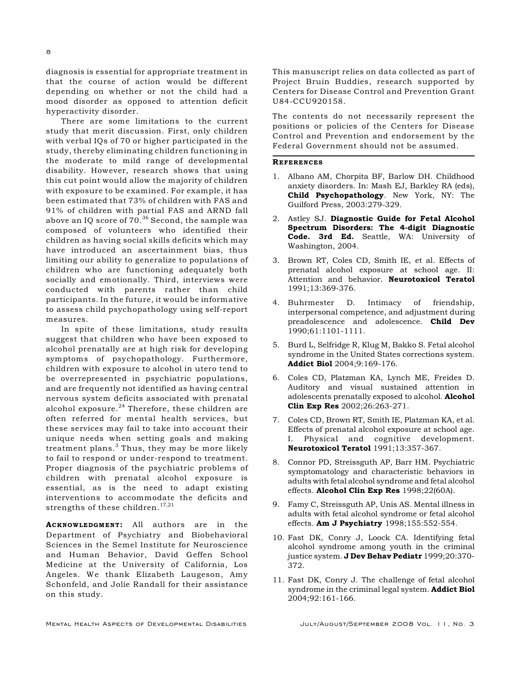diagnosis is essential for appropriate treatment in that the course of action would be different depending on whether or not the child had a mood disorder as opposed to attention deficit hyperactivity disorder.

There are some limitations to the current study that merit discussion. First, only children with verbal IQs of 70 or higher participated in the study, thereby eliminating children functioning in the moderate to mild range of developmental disability. However, research shows that using this cut point would allow the majority of children with exposure to be examined. For example, it has been estimated that 73% of children with FAS and 91% of children with partial FAS and ARND fall above an IQ score of  $70.^{36}$  Second, the sample was composed of volunteers who identified their children as having social skills deficits which may have introduced an ascertainment bias, thus limiting our ability to generalize to populations of children who are functioning adequately both socially and emotionally. Third, interviews were conducted with parents rather than child participants. In the future, it would be informative to assess child psychopathology using self-report measures.

In spite of these limitations, study results suggest that children who have been exposed to alcohol prenatally are at high risk for developing symptoms of psychopathology. Furthermore, children with exposure to alcohol in utero tend to be overrepresented in psychiatric populations, and are frequently not identified as having central nervous system deficits associated with prenatal alcohol exposure. $^{24}$  Therefore, these children are often referred for mental health services, but these services may fail to take into account their unique needs when setting goals and making treatment plans. $3$  Thus, they may be more likely to fail to respond or under-respond to treatment. Proper diagnosis of the psychiatric problems of children with prenatal alcohol exposure is essential, as is the need to adapt existing interventions to accommodate the deficits and strengths of these children.<sup>17,21</sup>

ACKNOWLEDGMENT: All authors are in the Department of Psychiatry and Biobehavioral Sciences in the Semel Institute for Neuroscience and Human Behavior, David Geffen School Medicine at the University of California, Los Angeles. We thank Elizabeth Laugeson, Amy Schonfeld, and Jolie Randall for their assistance on this study.

This manuscript relies on data collected as part of Project Bruin Buddies, research supported by Centers for Disease Control and Prevention Grant U84-CCU920158.

The contents do not necessarily represent the positions or policies of the Centers for Disease Control and Prevention and endorsement by the Federal Government should not be assumed.

#### **REFERENCES**

- 1. Albano AM, Chorpita BF, Barlow DH. Childhood anxiety disorders. In: Mash EJ, Barkley RA (eds), Child Psychopathology. New York, NY: The Guilford Press, 2003:279-329.
- 2. Astley SJ. Diagnostic Guide for Fetal Alcohol Spectrum Disorders: The 4-digit Diagnostic Code. 3rd Ed. Seattle, WA: University of Washington, 2004.
- 3. Brown RT, Coles CD, Smith IE, et al. Effects of prenatal alcohol exposure at school age. II: Attention and behavior. Neurotoxicol Teratol 1991;13:369-376.
- 4. Buhrmester D. Intimacy of friendship, interpersonal competence, and adjustment during preadolescence and adolescence. **Child Dev** 1990;61:1101-1111.
- 5. Burd L, Selfridge R, Klug M, Bakko S. Fetal alcohol syndrome in the United States corrections system. Addict Biol 2004;9:169-176.
- 6. Coles CD, Platzman KA, Lynch ME, Freides D. Auditory and visual sustained attention in adolescents prenatally exposed to alcohol. Alcohol Clin Exp Res 2002;26:263-271.
- 7. Coles CD, Brown RT, Smith IE, Platzman KA, et al. Effects of prenatal alcohol exposure at school age. I. Physical and cognitive development. Neurotoxicol Teratol 1991;13:357-367.
- 8. Connor PD, Streissguth AP, Barr HM. Psychiatric symptomatology and characteristic behaviors in adults with fetal alcohol syndrome and fetal alcohol effects. Alcohol Clin Exp Res 1998;22(60A).
- 9. Famy C, Streissguth AP, Unis AS. Mental illness in adults with fetal alcohol syndrome or fetal alcohol effects. **Am J Psychiatry** 1998;155:552-554.
- 10. Fast DK, Conry J, Loock CA. Identifying fetal alcohol syndrome among youth in the criminal justice system. J Dev Behav Pediatr 1999;20:370-372.
- 11. Fast DK, Conry J. The challenge of fetal alcohol syndrome in the criminal legal system. Addict Biol 2004;92:161-166.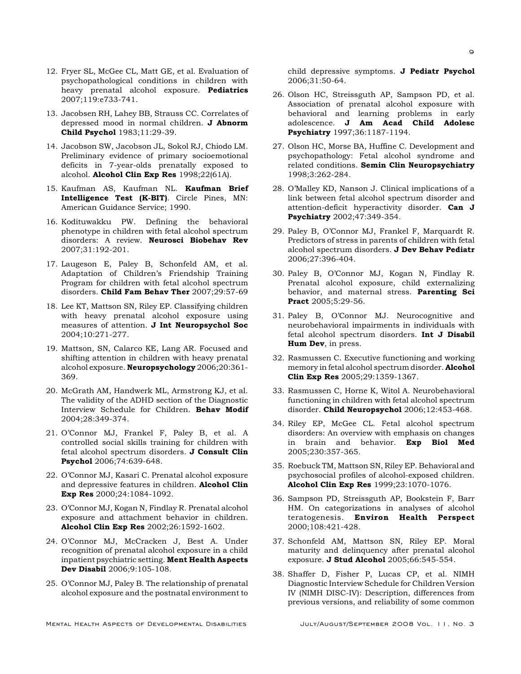- 12. Fryer SL, McGee CL, Matt GE, et al. Evaluation of psychopathological conditions in children with heavy prenatal alcohol exposure. **Pediatrics** 2007;119:e733-741.
- 13. Jacobsen RH, Lahey BB, Strauss CC. Correlates of depressed mood in normal children. J Abnorm Child Psychol 1983;11:29-39.
- 14. Jacobson SW, Jacobson JL, Sokol RJ, Chiodo LM. Preliminary evidence of primary socioemotional deficits in 7-year-olds prenatally exposed to alcohol. Alcohol Clin Exp Res 1998;22(61A).
- 15. Kaufman AS, Kaufman NL. Kaufman Brief Intelligence Test (K-BIT). Circle Pines, MN: American Guidance Service; 1990.
- 16. Kodituwakku PW. Defining the behavioral phenotype in children with fetal alcohol spectrum disorders: A review. Neurosci Biobehav Rev 2007;31:192-201.
- 17. Laugeson E, Paley B, Schonfeld AM, et al. Adaptation of Children's Friendship Training Program for children with fetal alcohol spectrum disorders. Child Fam Behav Ther 2007;29:57-69
- 18. Lee KT, Mattson SN, Riley EP. Classifying children with heavy prenatal alcohol exposure using measures of attention. J Int Neuropsychol Soc 2004;10:271-277.
- 19. Mattson, SN, Calarco KE, Lang AR. Focused and shifting attention in children with heavy prenatal alcohol exposure. Neuropsychology 2006;20:361- 369.
- 20. McGrath AM, Handwerk ML, Armstrong KJ, et al. The validity of the ADHD section of the Diagnostic Interview Schedule for Children. Behav Modif 2004;28:349-374.
- 21. O'Connor MJ, Frankel F, Paley B, et al. A controlled social skills training for children with fetal alcohol spectrum disorders. J Consult Clin Psychol 2006;74:639-648.
- 22. O'Connor MJ, Kasari C. Prenatal alcohol exposure and depressive features in children. Alcohol Clin Exp Res 2000;24:1084-1092.
- 23. O'Connor MJ, Kogan N, Findlay R. Prenatal alcohol exposure and attachment behavior in children. Alcohol Clin Exp Res 2002;26:1592-1602.
- 24. O'Connor MJ, McCracken J, Best A. Under recognition of prenatal alcohol exposure in a child inpatient psychiatric setting. Ment Health Aspects Dev Disabil 2006;9:105-108.
- 25. O'Connor MJ, Paley B. The relationship of prenatal alcohol exposure and the postnatal environment to

child depressive symptoms. J Pediatr Psychol 2006;31:50-64.

- 26. Olson HC, Streissguth AP, Sampson PD, et al. Association of prenatal alcohol exposure with behavioral and learning problems in early adolescence. J Am Acad Child Adolesc Psychiatry 1997;36:1187-1194.
- 27. Olson HC, Morse BA, Huffine C. Development and psychopathology: Fetal alcohol syndrome and related conditions. Semin Clin Neuropsychiatry 1998;3:262-284.
- 28. O'Malley KD, Nanson J. Clinical implications of a link between fetal alcohol spectrum disorder and attention-deficit hyperactivity disorder. Can J Psychiatry 2002;47:349-354.
- 29. Paley B, O'Connor MJ, Frankel F, Marquardt R. Predictors of stress in parents of children with fetal alcohol spectrum disorders. J Dev Behav Pediatr 2006;27:396-404.
- 30. Paley B, O'Connor MJ, Kogan N, Findlay R. Prenatal alcohol exposure, child externalizing behavior, and maternal stress. **Parenting Sci** Pract 2005:5:29-56.
- 31. Paley B, O'Connor MJ. Neurocognitive and neurobehavioral impairments in individuals with fetal alcohol spectrum disorders. Int J Disabil Hum Dev, in press.
- 32. Rasmussen C. Executive functioning and working memory in fetal alcohol spectrum disorder. Alcohol Clin Exp Res 2005;29:1359-1367.
- 33. Rasmussen C, Horne K, Witol A. Neurobehavioral functioning in children with fetal alcohol spectrum disorder. Child Neuropsychol 2006;12:453-468.
- 34. Riley EP, McGee CL. Fetal alcohol spectrum disorders: An overview with emphasis on changes in brain and behavior. Exp Biol Med 2005;230:357-365.
- 35. Roebuck TM, Mattson SN, Riley EP. Behavioral and psychosocial profiles of alcohol-exposed children. Alcohol Clin Exp Res 1999;23:1070-1076.
- 36. Sampson PD, Streissguth AP, Bookstein F, Barr HM. On categorizations in analyses of alcohol teratogenesis. Environ Health Perspect 2000;108:421-428.
- 37. Schonfeld AM, Mattson SN, Riley EP. Moral maturity and delinquency after prenatal alcohol exposure. J Stud Alcohol 2005;66:545-554.
- 38. Shaffer D, Fisher P, Lucas CP, et al. NIMH Diagnostic Interview Schedule for Children Version IV (NIMH DISC-IV): Description, differences from previous versions, and reliability of some common